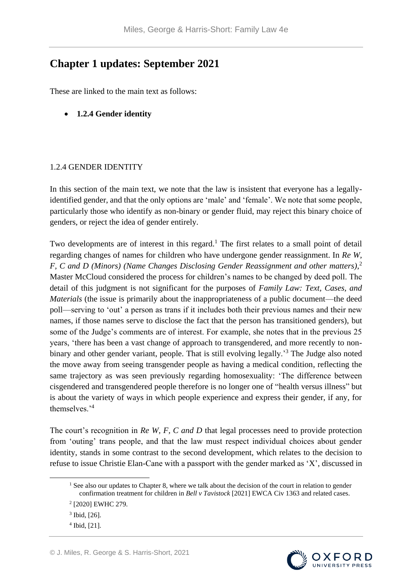## **Chapter 1 updates: September 2021**

These are linked to the main text as follows:

• **1.2.4 Gender identity** 

## 1.2.4 GENDER IDENTITY

In this section of the main text, we note that the law is insistent that everyone has a legallyidentified gender, and that the only options are 'male' and 'female'. We note that some people, particularly those who identify as non-binary or gender fluid, may reject this binary choice of genders, or reject the idea of gender entirely.

Two developments are of interest in this regard.<sup>1</sup> The first relates to a small point of detail regarding changes of names for children who have undergone gender reassignment. In *Re W, F, C and D (Minors) (Name Changes Disclosing Gender Reassignment and other matters)*, 2 Master McCloud considered the process for children's names to be changed by deed poll. The detail of this judgment is not significant for the purposes of *Family Law: Text, Cases, and Materials* (the issue is primarily about the inappropriateness of a public document—the deed poll—serving to 'out' a person as trans if it includes both their previous names and their new names, if those names serve to disclose the fact that the person has transitioned genders), but some of the Judge's comments are of interest. For example, she notes that in the previous 25 years, 'there has been a vast change of approach to transgendered, and more recently to nonbinary and other gender variant, people. That is still evolving legally.<sup>3</sup> The Judge also noted the move away from seeing transgender people as having a medical condition, reflecting the same trajectory as was seen previously regarding homosexuality: 'The difference between cisgendered and transgendered people therefore is no longer one of "health versus illness" but is about the variety of ways in which people experience and express their gender, if any, for themselves.'<sup>4</sup>

The court's recognition in *Re W, F, C and D* that legal processes need to provide protection from 'outing' trans people, and that the law must respect individual choices about gender identity, stands in some contrast to the second development, which relates to the decision to refuse to issue Christie Elan-Cane with a passport with the gender marked as 'X', discussed in

1



<sup>&</sup>lt;sup>1</sup> See also our updates to Chapter 8, where we talk about the decision of the court in relation to gender confirmation treatment for children in *Bell v Tavistock* [2021] EWCA Civ 1363 and related cases.

<sup>2</sup> [2020] EWHC 279.

<sup>3</sup> Ibid, [26].

 $4$  Ibid, [21].